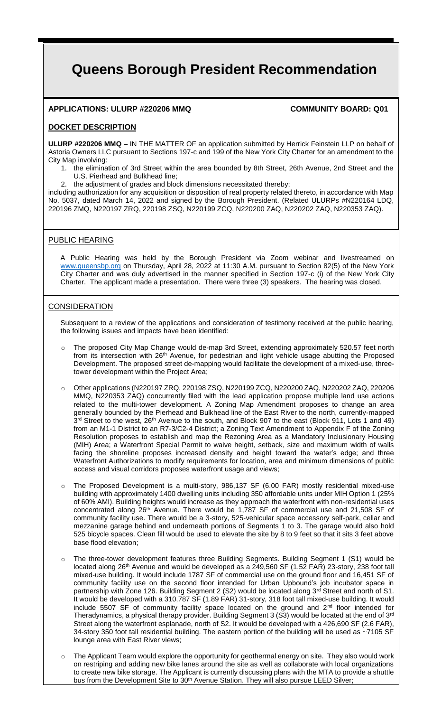# **Queens Borough President Recommendation**

## **APPLICATIONS: ULURP #220206 MMQ COMMUNITY BOARD: Q01**

#### **DOCKET DESCRIPTION**

**ULURP #220206 MMQ –** IN THE MATTER OF an application submitted by Herrick Feinstein LLP on behalf of Astoria Owners LLC pursuant to Sections 197-c and 199 of the New York City Charter for an amendment to the City Map involving:

1. the elimination of 3rd Street within the area bounded by 8th Street, 26th Avenue, 2nd Street and the U.S. Pierhead and Bulkhead line;

the adjustment of grades and block dimensions necessitated thereby;

including authorization for any acquisition or disposition of real property related thereto, in accordance with Map No. 5037, dated March 14, 2022 and signed by the Borough President. (Related ULURPs #N220164 LDQ, 220196 ZMQ, N220197 ZRQ, 220198 ZSQ, N220199 ZCQ, N220200 ZAQ, N220202 ZAQ, N220353 ZAQ).

#### PUBLIC HEARING

A Public Hearing was held by the Borough President via Zoom webinar and livestreamed on www.queensbp.org on Thursday, April 28, 2022 at 11:30 A.M. pursuant to Section 82(5) of the New York City Charter and was duly advertised in the manner specified in Section 197-c (i) of the New York City Charter. The applicant made a presentation. There were three (3) speakers. The hearing was closed.

### CONSIDERATION

Subsequent to a review of the applications and consideration of testimony received at the public hearing, the following issues and impacts have been identified:

- o The proposed City Map Change would de-map 3rd Street, extending approximately 520.57 feet north from its intersection with 26<sup>th</sup> Avenue, for pedestrian and light vehicle usage abutting the Proposed Development. The proposed street de-mapping would facilitate the development of a mixed-use, threetower development within the Project Area;
- o Other applications (N220197 ZRQ, 220198 ZSQ, N220199 ZCQ, N220200 ZAQ, N220202 ZAQ, 220206 MMQ, N220353 ZAQ) concurrently filed with the lead application propose multiple land use actions related to the multi-tower development. A Zoning Map Amendment proposes to change an area generally bounded by the Pierhead and Bulkhead line of the East River to the north, currently-mapped 3<sup>rd</sup> Street to the west, 26<sup>th</sup> Avenue to the south, and Block 907 to the east (Block 911, Lots 1 and 49) from an M1-1 District to an R7-3/C2-4 District; a Zoning Text Amendment to Appendix F of the Zoning Resolution proposes to establish and map the Rezoning Area as a Mandatory Inclusionary Housing (MIH) Area; a Waterfront Special Permit to waive height, setback, size and maximum width of walls facing the shoreline proposes increased density and height toward the water's edge; and three Waterfront Authorizations to modify requirements for location, area and minimum dimensions of public access and visual corridors proposes waterfront usage and views;
- The Proposed Development is a multi-story, 986,137 SF (6.00 FAR) mostly residential mixed-use building with approximately 1400 dwelling units including 350 affordable units under MIH Option 1 (25% of 60% AMI). Building heights would increase as they approach the waterfront with non-residential uses concentrated along  $26<sup>th</sup>$  Avenue. There would be 1,787 SF of commercial use and 21,508 SF of community facility use. There would be a 3-story, 525-vehicular space accessory self-park, cellar and mezzanine garage behind and underneath portions of Segments 1 to 3. The garage would also hold 525 bicycle spaces. Clean fill would be used to elevate the site by 8 to 9 feet so that it sits 3 feet above base flood elevation;
- o The three-tower development features three Building Segments. Building Segment 1 (S1) would be located along 26<sup>th</sup> Avenue and would be developed as a 249,560 SF (1.52 FAR) 23-story, 238 foot tall mixed-use building. It would include 1787 SF of commercial use on the ground floor and 16,451 SF of community facility use on the second floor intended for Urban Upbound's job incubator space in partnership with Zone 126. Building Segment 2 (S2) would be located along 3<sup>rd</sup> Street and north of S1. It would be developed with a 310,787 SF (1.89 FAR) 31-story, 318 foot tall mixed-use building. It would include 5507 SF of community facility space located on the ground and  $2<sup>nd</sup>$  floor intended for Theradynamics, a physical therapy provider. Building Segment 3 (S3) would be located at the end of 3rd Street along the waterfront esplanade, north of S2. It would be developed with a 426,690 SF (2.6 FAR), 34-story 350 foot tall residential building. The eastern portion of the building will be used as ~7105 SF lounge area with East River views;
- $\circ$  The Applicant Team would explore the opportunity for geothermal energy on site. They also would work on restriping and adding new bike lanes around the site as well as collaborate with local organizations to create new bike storage. The Applicant is currently discussing plans with the MTA to provide a shuttle bus from the Development Site to 30<sup>th</sup> Avenue Station. They will also pursue LEED Silver;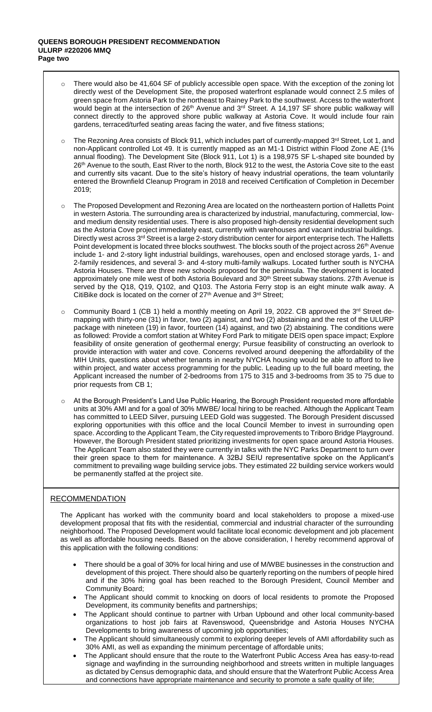- There would also be 41,604 SF of publicly accessible open space. With the exception of the zoning lot directly west of the Development Site, the proposed waterfront esplanade would connect 2.5 miles of green space from Astoria Park to the northeast to Rainey Park to the southwest. Access to the waterfront would begin at the intersection of 26<sup>th</sup> Avenue and 3<sup>rd</sup> Street. A 14,197 SF shore public walkway will connect directly to the approved shore public walkway at Astoria Cove. It would include four rain gardens, terraced/turfed seating areas facing the water, and five fitness stations;
- o The Rezoning Area consists of Block 911, which includes part of currently-mapped 3rd Street, Lot 1, and non-Applicant controlled Lot 49. It is currently mapped as an M1-1 District within Flood Zone AE (1% annual flooding). The Development Site (Block 911, Lot 1) is a 198,975 SF L-shaped site bounded by 26th Avenue to the south, East River to the north, Block 912 to the west, the Astoria Cove site to the east and currently sits vacant. Due to the site's history of heavy industrial operations, the team voluntarily entered the Brownfield Cleanup Program in 2018 and received Certification of Completion in December 2019;
- The Proposed Development and Rezoning Area are located on the northeastern portion of Halletts Point in western Astoria. The surrounding area is characterized by industrial, manufacturing, commercial, lowand medium density residential uses. There is also proposed high-density residential development such as the Astoria Cove project immediately east, currently with warehouses and vacant industrial buildings. Directly west across 3<sup>rd</sup> Street is a large 2-story distribution center for airport enterprise tech. The Halletts Point development is located three blocks southwest. The blocks south of the project across 26<sup>th</sup> Avenue include 1- and 2-story light industrial buildings, warehouses, open and enclosed storage yards, 1- and 2-family residences, and several 3- and 4-story multi-family walkups. Located further south is NYCHA Astoria Houses. There are three new schools proposed for the peninsula. The development is located approximately one mile west of both Astoria Boulevard and 30<sup>th</sup> Street subway stations. 27th Avenue is served by the Q18, Q19, Q102, and Q103. The Astoria Ferry stop is an eight minute walk away. A CitiBike dock is located on the corner of 27<sup>th</sup> Avenue and 3<sup>rd</sup> Street;
- $\circ$  Community Board 1 (CB 1) held a monthly meeting on April 19, 2022. CB approved the 3<sup>rd</sup> Street demapping with thirty-one (31) in favor, two (2) against, and two (2) abstaining and the rest of the ULURP package with nineteen (19) in favor, fourteen (14) against, and two (2) abstaining. The conditions were as followed: Provide a comfort station at Whitey Ford Park to mitigate DEIS open space impact; Explore feasibility of onsite generation of geothermal energy; Pursue feasibility of constructing an overlook to provide interaction with water and cove. Concerns revolved around deepening the affordability of the MIH Units, questions about whether tenants in nearby NYCHA housing would be able to afford to live within project, and water access programming for the public. Leading up to the full board meeting, the Applicant increased the number of 2-bedrooms from 175 to 315 and 3-bedrooms from 35 to 75 due to prior requests from CB 1;
- o At the Borough President's Land Use Public Hearing, the Borough President requested more affordable units at 30% AMI and for a goal of 30% MWBE/ local hiring to be reached. Although the Applicant Team has committed to LEED Silver, pursuing LEED Gold was suggested. The Borough President discussed exploring opportunities with this office and the local Council Member to invest in surrounding open space. According to the Applicant Team, the City requested improvements to Triboro Bridge Playground. However, the Borough President stated prioritizing investments for open space around Astoria Houses. The Applicant Team also stated they were currently in talks with the NYC Parks Department to turn over their green space to them for maintenance. A 32BJ SEIU representative spoke on the Applicant's commitment to prevailing wage building service jobs. They estimated 22 building service workers would be permanently staffed at the project site.

#### RECOMMENDATION

The Applicant has worked with the community board and local stakeholders to propose a mixed-use development proposal that fits with the residential, commercial and industrial character of the surrounding neighborhood. The Proposed Development would facilitate local economic development and job placement as well as affordable housing needs. Based on the above consideration, I hereby recommend approval of this application with the following conditions:

- There should be a goal of 30% for local hiring and use of M/WBE businesses in the construction and development of this project. There should also be quarterly reporting on the numbers of people hired and if the 30% hiring goal has been reached to the Borough President, Council Member and Community Board;
- The Applicant should commit to knocking on doors of local residents to promote the Proposed Development, its community benefits and partnerships;
- The Applicant should continue to partner with Urban Upbound and other local community-based organizations to host job fairs at Ravenswood, Queensbridge and Astoria Houses NYCHA Developments to bring awareness of upcoming job opportunities;
- The Applicant should simultaneously commit to exploring deeper levels of AMI affordability such as 30% AMI, as well as expanding the minimum percentage of affordable units;
- The Applicant should ensure that the route to the Waterfront Public Access Area has easy-to-read signage and wayfinding in the surrounding neighborhood and streets written in multiple languages as dictated by Census demographic data, and should ensure that the Waterfront Public Access Area and connections have appropriate maintenance and security to promote a safe quality of life;